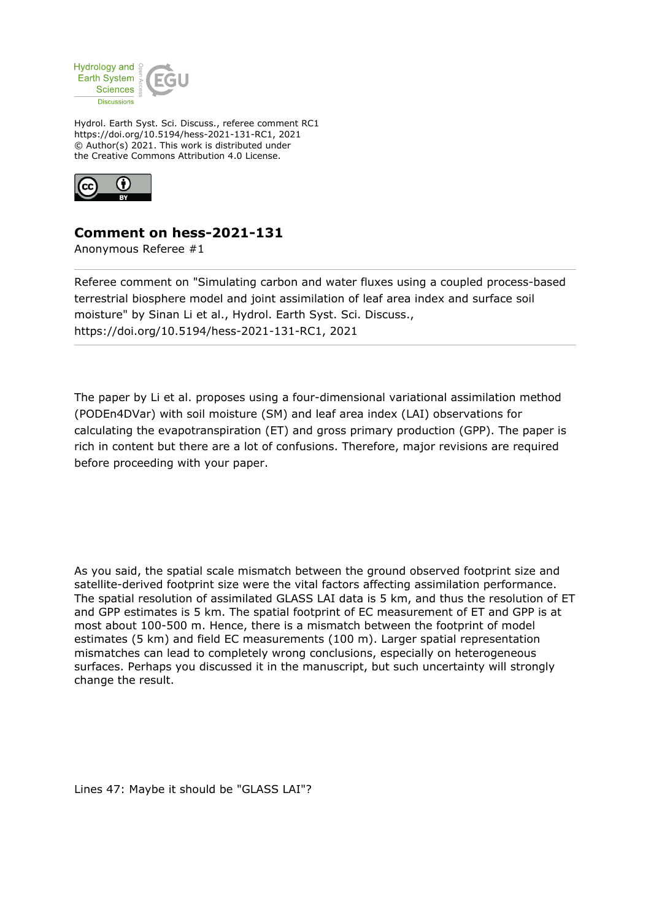

Hydrol. Earth Syst. Sci. Discuss., referee comment RC1 https://doi.org/10.5194/hess-2021-131-RC1, 2021 © Author(s) 2021. This work is distributed under the Creative Commons Attribution 4.0 License.



## **Comment on hess-2021-131**

Anonymous Referee #1

Referee comment on "Simulating carbon and water fluxes using a coupled process-based terrestrial biosphere model and joint assimilation of leaf area index and surface soil moisture" by Sinan Li et al., Hydrol. Earth Syst. Sci. Discuss., https://doi.org/10.5194/hess-2021-131-RC1, 2021

The paper by Li et al. proposes using a four-dimensional variational assimilation method (PODEn4DVar) with soil moisture (SM) and leaf area index (LAI) observations for calculating the evapotranspiration (ET) and gross primary production (GPP). The paper is rich in content but there are a lot of confusions. Therefore, major revisions are required before proceeding with your paper.

As you said, the spatial scale mismatch between the ground observed footprint size and satellite-derived footprint size were the vital factors affecting assimilation performance. The spatial resolution of assimilated GLASS LAI data is 5 km, and thus the resolution of ET and GPP estimates is 5 km. The spatial footprint of EC measurement of ET and GPP is at most about 100-500 m. Hence, there is a mismatch between the footprint of model estimates (5 km) and field EC measurements (100 m). Larger spatial representation mismatches can lead to completely wrong conclusions, especially on heterogeneous surfaces. Perhaps you discussed it in the manuscript, but such uncertainty will strongly change the result.

Lines 47: Maybe it should be "GLASS LAI"?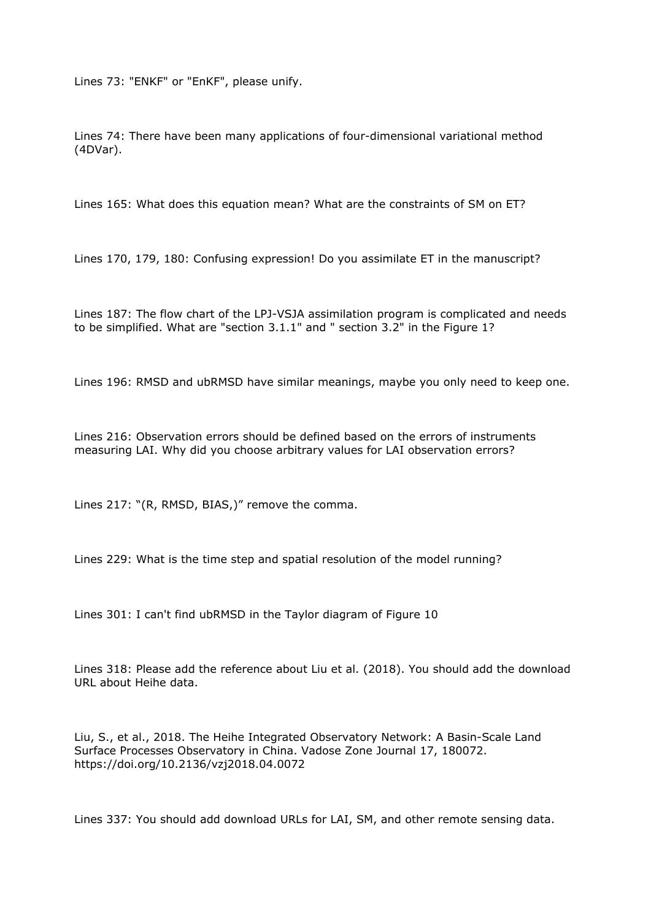Lines 73: "ENKF" or "EnKF", please unify.

Lines 74: There have been many applications of four-dimensional variational method (4DVar).

Lines 165: What does this equation mean? What are the constraints of SM on ET?

Lines 170, 179, 180: Confusing expression! Do you assimilate ET in the manuscript?

Lines 187: The flow chart of the LPJ-VSJA assimilation program is complicated and needs to be simplified. What are "section 3.1.1" and " section 3.2" in the Figure 1?

Lines 196: RMSD and ubRMSD have similar meanings, maybe you only need to keep one.

Lines 216: Observation errors should be defined based on the errors of instruments measuring LAI. Why did you choose arbitrary values for LAI observation errors?

Lines 217: "(R, RMSD, BIAS,)" remove the comma.

Lines 229: What is the time step and spatial resolution of the model running?

Lines 301: I can't find ubRMSD in the Taylor diagram of Figure 10

Lines 318: Please add the reference about Liu et al. (2018). You should add the download URL about Heihe data.

Liu, S., et al., 2018. The Heihe Integrated Observatory Network: A Basin-Scale Land Surface Processes Observatory in China. Vadose Zone Journal 17, 180072. https://doi.org/10.2136/vzj2018.04.0072

Lines 337: You should add download URLs for LAI, SM, and other remote sensing data.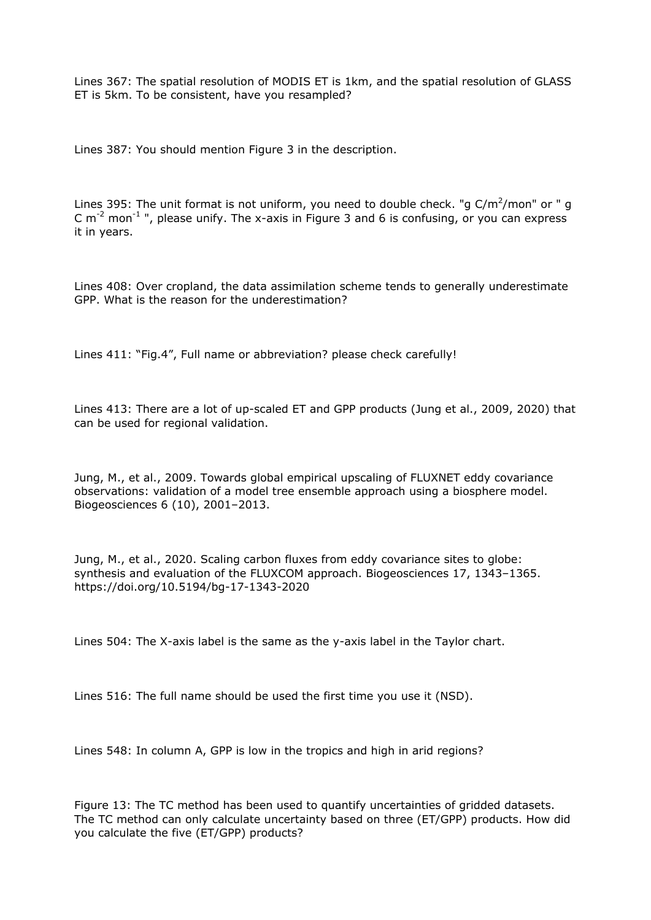Lines 367: The spatial resolution of MODIS ET is 1km, and the spatial resolution of GLASS ET is 5km. To be consistent, have you resampled?

Lines 387: You should mention Figure 3 in the description.

Lines 395: The unit format is not uniform, you need to double check. "g  $C/m^2/m$ on" or " g C  $m^{-2}$  mon<sup>-1</sup> ", please unify. The x-axis in Figure 3 and 6 is confusing, or you can express it in years.

Lines 408: Over cropland, the data assimilation scheme tends to generally underestimate GPP. What is the reason for the underestimation?

Lines 411: "Fig.4", Full name or abbreviation? please check carefully!

Lines 413: There are a lot of up-scaled ET and GPP products (Jung et al., 2009, 2020) that can be used for regional validation.

Jung, M., et al., 2009. Towards global empirical upscaling of FLUXNET eddy covariance observations: validation of a model tree ensemble approach using a biosphere model. Biogeosciences 6 (10), 2001–2013.

Jung, M., et al., 2020. Scaling carbon fluxes from eddy covariance sites to globe: synthesis and evaluation of the FLUXCOM approach. Biogeosciences 17, 1343–1365. https://doi.org/10.5194/bg-17-1343-2020

Lines 504: The X-axis label is the same as the y-axis label in the Taylor chart.

Lines 516: The full name should be used the first time you use it (NSD).

Lines 548: In column A, GPP is low in the tropics and high in arid regions?

Figure 13: The TC method has been used to quantify uncertainties of gridded datasets. The TC method can only calculate uncertainty based on three (ET/GPP) products. How did you calculate the five (ET/GPP) products?